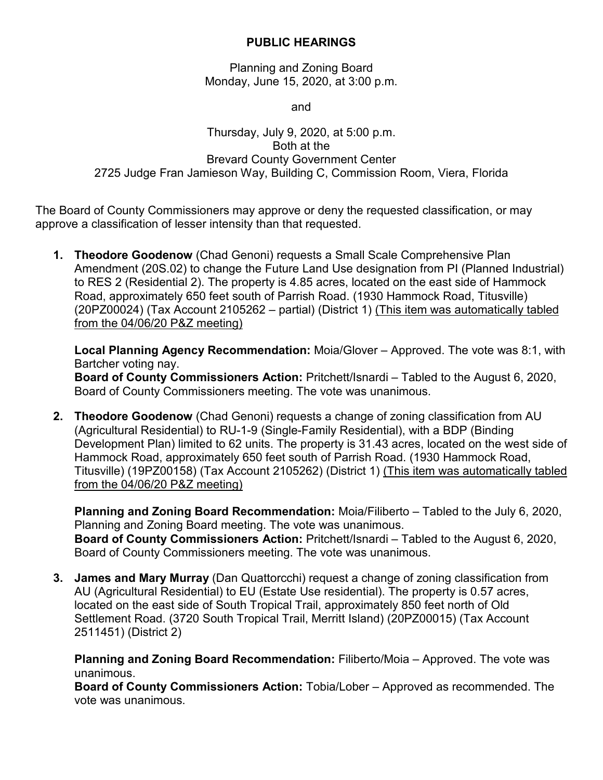## **PUBLIC HEARINGS**

Planning and Zoning Board Monday, June 15, 2020, at 3:00 p.m.

and

## Thursday, July 9, 2020, at 5:00 p.m. Both at the Brevard County Government Center 2725 Judge Fran Jamieson Way, Building C, Commission Room, Viera, Florida

The Board of County Commissioners may approve or deny the requested classification, or may approve a classification of lesser intensity than that requested.

**1. Theodore Goodenow** (Chad Genoni) requests a Small Scale Comprehensive Plan Amendment (20S.02) to change the Future Land Use designation from PI (Planned Industrial) to RES 2 (Residential 2). The property is 4.85 acres, located on the east side of Hammock Road, approximately 650 feet south of Parrish Road. (1930 Hammock Road, Titusville) (20PZ00024) (Tax Account 2105262 – partial) (District 1) (This item was automatically tabled from the 04/06/20 P&Z meeting)

**Local Planning Agency Recommendation:** Moia/Glover – Approved. The vote was 8:1, with Bartcher voting nay.

**Board of County Commissioners Action:** Pritchett/Isnardi – Tabled to the August 6, 2020, Board of County Commissioners meeting. The vote was unanimous.

**2. Theodore Goodenow** (Chad Genoni) requests a change of zoning classification from AU (Agricultural Residential) to RU-1-9 (Single-Family Residential), with a BDP (Binding Development Plan) limited to 62 units. The property is 31.43 acres, located on the west side of Hammock Road, approximately 650 feet south of Parrish Road. (1930 Hammock Road, Titusville) (19PZ00158) (Tax Account 2105262) (District 1) (This item was automatically tabled from the 04/06/20 P&Z meeting)

**Planning and Zoning Board Recommendation:** Moia/Filiberto – Tabled to the July 6, 2020, Planning and Zoning Board meeting. The vote was unanimous. **Board of County Commissioners Action:** Pritchett/Isnardi – Tabled to the August 6, 2020, Board of County Commissioners meeting. The vote was unanimous.

**3. James and Mary Murray** (Dan Quattorcchi) request a change of zoning classification from AU (Agricultural Residential) to EU (Estate Use residential). The property is 0.57 acres, located on the east side of South Tropical Trail, approximately 850 feet north of Old Settlement Road. (3720 South Tropical Trail, Merritt Island) (20PZ00015) (Tax Account 2511451) (District 2)

**Planning and Zoning Board Recommendation:** Filiberto/Moia – Approved. The vote was unanimous.

**Board of County Commissioners Action:** Tobia/Lober – Approved as recommended. The vote was unanimous.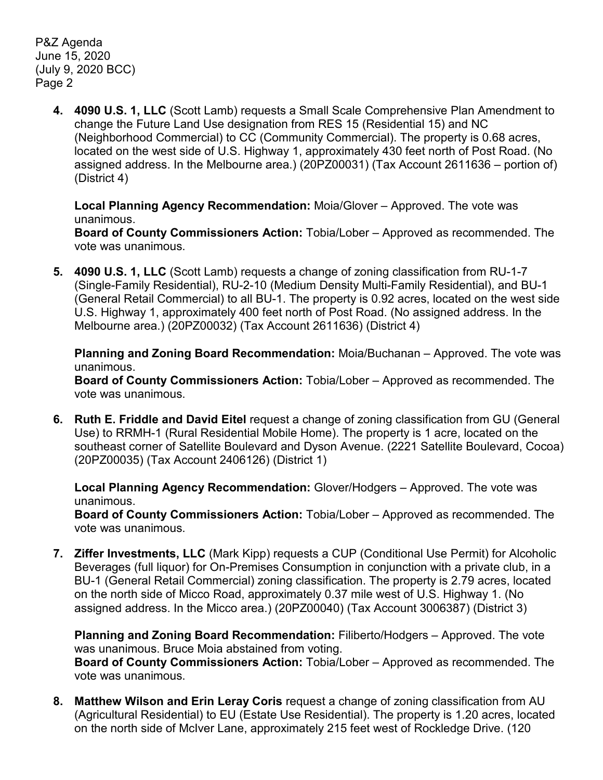P&Z Agenda June 15, 2020 (July 9, 2020 BCC) Page 2

> **4. 4090 U.S. 1, LLC** (Scott Lamb) requests a Small Scale Comprehensive Plan Amendment to change the Future Land Use designation from RES 15 (Residential 15) and NC (Neighborhood Commercial) to CC (Community Commercial). The property is 0.68 acres, located on the west side of U.S. Highway 1, approximately 430 feet north of Post Road. (No assigned address. In the Melbourne area.) (20PZ00031) (Tax Account 2611636 – portion of) (District 4)

**Local Planning Agency Recommendation:** Moia/Glover – Approved. The vote was unanimous.

**Board of County Commissioners Action:** Tobia/Lober – Approved as recommended. The vote was unanimous.

**5. 4090 U.S. 1, LLC** (Scott Lamb) requests a change of zoning classification from RU-1-7 (Single-Family Residential), RU-2-10 (Medium Density Multi-Family Residential), and BU-1 (General Retail Commercial) to all BU-1. The property is 0.92 acres, located on the west side U.S. Highway 1, approximately 400 feet north of Post Road. (No assigned address. In the Melbourne area.) (20PZ00032) (Tax Account 2611636) (District 4)

**Planning and Zoning Board Recommendation:** Moia/Buchanan – Approved. The vote was unanimous.

**Board of County Commissioners Action:** Tobia/Lober – Approved as recommended. The vote was unanimous.

**6. Ruth E. Friddle and David Eitel** request a change of zoning classification from GU (General Use) to RRMH-1 (Rural Residential Mobile Home). The property is 1 acre, located on the southeast corner of Satellite Boulevard and Dyson Avenue. (2221 Satellite Boulevard, Cocoa) (20PZ00035) (Tax Account 2406126) (District 1)

**Local Planning Agency Recommendation:** Glover/Hodgers – Approved. The vote was unanimous.

**Board of County Commissioners Action:** Tobia/Lober – Approved as recommended. The vote was unanimous.

**7. Ziffer Investments, LLC** (Mark Kipp) requests a CUP (Conditional Use Permit) for Alcoholic Beverages (full liquor) for On-Premises Consumption in conjunction with a private club, in a BU-1 (General Retail Commercial) zoning classification. The property is 2.79 acres, located on the north side of Micco Road, approximately 0.37 mile west of U.S. Highway 1. (No assigned address. In the Micco area.) (20PZ00040) (Tax Account 3006387) (District 3)

**Planning and Zoning Board Recommendation:** Filiberto/Hodgers – Approved. The vote was unanimous. Bruce Moia abstained from voting. **Board of County Commissioners Action:** Tobia/Lober – Approved as recommended. The vote was unanimous.

**8. Matthew Wilson and Erin Leray Coris** request a change of zoning classification from AU (Agricultural Residential) to EU (Estate Use Residential). The property is 1.20 acres, located on the north side of McIver Lane, approximately 215 feet west of Rockledge Drive. (120